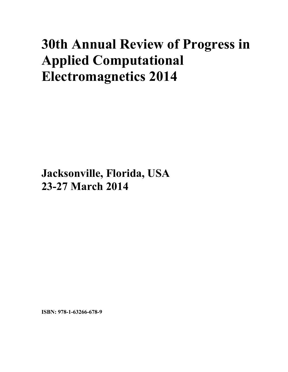# **30th Annual Review of Progress in Applied Computational Electromagnetics 2014**

**Jacksonville, Florida, USA 23-27 March 2014**

**ISBN: 978-1-63266-678-9**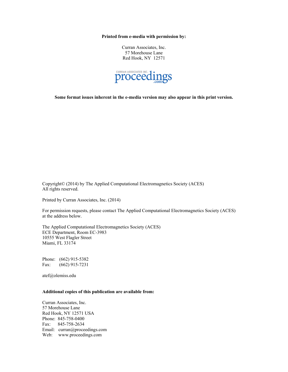**Printed from e-media with permission by:** 

Curran Associates, Inc. 57 Morehouse Lane Red Hook, NY 12571



**Some format issues inherent in the e-media version may also appear in this print version.** 

Copyright© (2014) by The Applied Computational Electromagnetics Society (ACES) All rights reserved.

Printed by Curran Associates, Inc. (2014)

For permission requests, please contact The Applied Computational Electromagnetics Society (ACES) at the address below.

The Applied Computational Electromagnetics Society (ACES) ECE Department, Room EC-3983 10555 West Flagler Street Miami, FL 33174

Phone: (662) 915-5382 Fax: (662) 915-7231

atef@olemiss.edu

#### **Additional copies of this publication are available from:**

Curran Associates, Inc. 57 Morehouse Lane Red Hook, NY 12571 USA Phone: 845-758-0400 Fax: 845-758-2634 Email: curran@proceedings.com Web: www.proceedings.com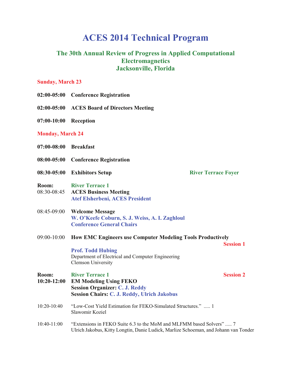# **ACES 2014 Technical Program**

## **The 30th Annual Review of Progress in Applied Computational Electromagnetics Jacksonville, Florida**

### **Sunday, March 23**

- **02:00-05:00 Conference Registration**
- **02:00-05:00 ACES Board of Directors Meeting**
- **07:00-10:00 Reception**

#### **Monday, March 24**

- **07:00-08:00 Breakfast**
- **08:00-05:00 Conference Registration**
- **08:30-05:00 Exhibitors Setup River Terrace Foyer**

- **Room: River Terrace 1** 08:30-08:45 **ACES Business Meeting Atef Elsherbeni, ACES President**
- 08:45-09:00 **Welcome Message W. O'Keefe Coburn, S. J. Weiss, A. I. Zaghloul Conference General Chairs**
- 09:00-10:00 **How EMC Engineers use Computer Modeling Tools Productively Session 1**

**Prof. Todd Hubing** Department of Electrical and Computer Engineering Clemson University

#### **Room:** River Terrace 1 Session 2

- **10:20-12:00 EM Modeling Using FEKO Session Organizer: C. J. Reddy Session Chairs: C. J. Reddy, Ulrich Jakobus**
- 10:20-10:40 "Low-Cost Yield Estimation for FEKO-Simulated Structures." ..... 1 Slawomir Koziel
- 10:40-11:00 "Extensions in FEKO Suite 6.3 to the MoM and MLFMM based Solvers" ..... 7 Ulrich Jakobus, Kitty Longtin, Danie Ludick, Marlize Schoeman, and Johann van Tonder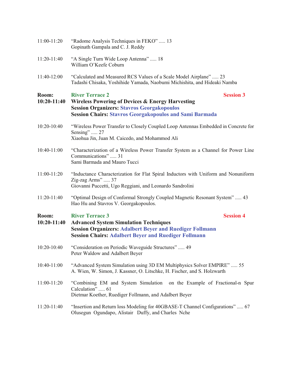| 11:00-11:20            | "Radome Analysis Techniques in FEKO"  13<br>Gopinath Gampala and C. J. Reddy                                                                                                                                                     |  |
|------------------------|----------------------------------------------------------------------------------------------------------------------------------------------------------------------------------------------------------------------------------|--|
| 11:20-11:40            | "A Single Turn Wide Loop Antenna"  18<br>William O'Keefe Coburn                                                                                                                                                                  |  |
| 11:40-12:00            | "Calculated and Measured RCS Values of a Scale Model Airplane"  23<br>Tadashi Chisaka, Yoshihide Yamada, Naobumi Michishita, and Hideaki Namba                                                                                   |  |
| Room:<br>$10:20-11:40$ | <b>Session 3</b><br><b>River Terrace 2</b><br><b>Wireless Powering of Devices &amp; Energy Harvesting</b><br><b>Session Organizers: Stavros Georgakopoulos</b><br><b>Session Chairs: Stavros Georgakopoulos and Sami Barmada</b> |  |
| 10:20-10:40            | "Wireless Power Transfer to Closely Coupled Loop Antennas Embedded in Concrete for<br>Sensing"  27<br>Xiaohua Jin, Juan M. Caicedo, and Mohammod Ali                                                                             |  |
| 10:40-11:00            | "Characterization of a Wireless Power Transfer System as a Channel for Power Line<br>Communications" 31<br>Sami Barmada and Mauro Tucci                                                                                          |  |
| 11:00-11:20            | "Inductance Characterization for Flat Spiral Inductors with Uniform and Nonuniform<br>Zig-zag Arms"  37<br>Giovanni Puccetti, Ugo Reggiani, and Leonardo Sandrolini                                                              |  |
| 11:20-11:40            | "Optimal Design of Conformal Strongly Coupled Magnetic Resonant System"  43<br>Hao Hu and Stavros V. Georgakopoulos.                                                                                                             |  |
| Room:<br>$10:20-11:40$ | <b>River Terrace 3</b><br><b>Session 4</b><br><b>Advanced System Simulation Techniques</b><br><b>Session Organizers: Adalbert Beyer and Ruediger Follmann</b><br><b>Session Chairs: Adalbert Beyer and Ruediger Follmann</b>     |  |
| 10:20-10:40            | "Consideration on Periodic Waveguide Structures"  49<br>Peter Waldow and Adalbert Beyer                                                                                                                                          |  |
| 10:40-11:00            | "Advanced System Simulation using 3D EM Multiphysics Solver EMPIRE"  55<br>A. Wien, W. Simon, J. Kassner, O. Litschke, H. Fischer, and S. Holzwarth                                                                              |  |
| 11:00-11:20            | "Combining EM and System Simulation on the Example of Fractional-n Spur<br>Calculation"  61<br>Dietmar Koether, Ruediger Follmann, and Adalbert Beyer                                                                            |  |
| 11:20-11:40            | "Insertion and Return loss Modeling for 40GBASE-T Channel Configurations"  67<br>Olusegun Ogundapo, Alistair Duffy, and Charles Nche                                                                                             |  |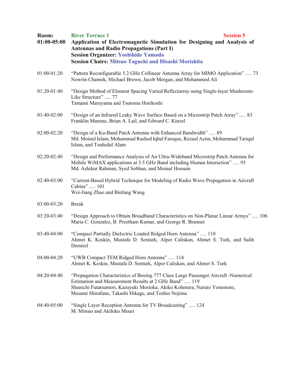| Room:<br>$01:00-05:00$ | <b>River Terrace 1</b><br><b>Session 5</b><br>Application of Electromagnetic Simulation for Designing and Analysis of<br><b>Antennas and Radio Propagations (Part I)</b><br><b>Session Organizer: Yoshihide Yamada</b><br><b>Session Chairs: Mitsuo Taguchi and Hisashi Morishita</b> |  |
|------------------------|---------------------------------------------------------------------------------------------------------------------------------------------------------------------------------------------------------------------------------------------------------------------------------------|--|
| 01:00-01:20            | "Pattern Reconfigurable 5.2 GHz Collinear Antenna Array for MIMO Application"  73<br>Nowrin Chamok, Michael Brown, Jacob Morgan, and Mohammod Ali                                                                                                                                     |  |
| 01:20-01:40            | "Design Method of Element Spacing Varied Reflectarray using Single-layer Mushroom-<br>Like Structure"  77<br>Tamami Maruyama and Tsutomu Horikoshi                                                                                                                                    |  |
| 01:40-02:00            | "Design of an Infrared Leaky Wave Surface Based on a Microstrip Patch Array"  83<br>Franklin Manene, Brian A. Lail, and Edward C. Kinzel                                                                                                                                              |  |
| 02:00-02:20            | "Design of a Ku-Band Patch Antenna with Enhanced Bandwidth"  89<br>Md. Moinul Islam, Mohammad Rashed Iqbal Faruque, Rezaul Azim, Mohammad Tariqul<br>Islam, and Touhidul Alam                                                                                                         |  |
| 02:20-02:40            | "Design and Performance Analysis of An Ultra-Wideband Microstrip Patch Antenna for<br>Mobile WiMAX applications at 3.5 GHz Band including Human Interaction"  95<br>Md. Ashikur Rahman, Syed Sobhan, and Moinul Hossain                                                               |  |
| 02:40-03:00            | "Current-Based Hybrid Technique for Modeling of Radio Wave Propagation in Aircraft<br>Cabins"  101<br>Wei-Jiang Zhao and Binfang Wang                                                                                                                                                 |  |
| 03:00-03:20            | <b>Break</b>                                                                                                                                                                                                                                                                          |  |
| 03:20-03:40            | "Design Approach to Obtain Broadband Characteristics on Non-Planar Linear Arrays"  106<br>Maria C. Gonzalez, B. Preetham Kumar, and George R. Branner                                                                                                                                 |  |
| 03:40-04:00            | "Compact Partially Dielectric Loaded Ridged Horn Antenna"  110<br>Ahmet K. Keskin, Mustafa D. Senturk, Alper Caliskan, Ahmet S. Turk, and Salih<br>Demirel                                                                                                                            |  |
| 04:00-04:20            | "UWB Compact TEM Ridged Horn Antenna"  114<br>Ahmet K. Keskin, Mustafa D. Senturk, Alper Caliskan, and Ahmet S. Turk                                                                                                                                                                  |  |
| 04:20-04:40            | "Propagation Characteristics of Boeing 777 Class Large Passenger Aircraft -Numerical<br>Estimation and Measurement Results at 2 GHz Band"  119<br>Shunichi Futatsumori, Kazuyuki Morioka, Akiko Kohmura, Naruto Yonemoto,<br>Masami Shirafune, Takashi Hikage, and Toshio Nojima      |  |
| 04:40-05:00            | "Single Layer Reception Antenna for TV Broadcasting"  124<br>M. Mitsuo and Akihiko Mouri                                                                                                                                                                                              |  |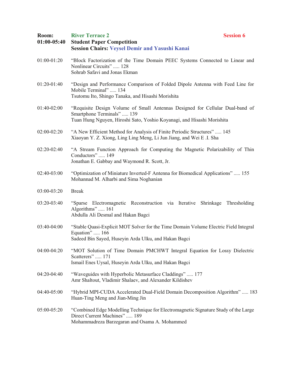| Room:<br>$01:00-05:40$ | <b>River Terrace 2</b><br><b>Student Paper Competition</b><br><b>Session Chairs: Veysel Demir and Yasushi Kanai</b>                                                                   | <b>Session 6</b> |
|------------------------|---------------------------------------------------------------------------------------------------------------------------------------------------------------------------------------|------------------|
| $01:00-01:20$          | "Block Factorization of the Time Domain PEEC Systems Connected to Linear and<br>Nonlinear Circuits"  128<br>Sohrab Safavi and Jonas Ekman                                             |                  |
| 01:20-01:40            | "Design and Performance Comparison of Folded Dipole Antenna with Feed Line for<br>Mobile Terminal"  134<br>Tsutomu Ito, Shingo Tanaka, and Hisashi Morishita                          |                  |
| 01:40-02:00            | "Requisite Design Volume of Small Antennas Designed for Cellular Dual-band of<br>Smartphone Terminals"  139<br>Tuan Hung Nguyen, Hiroshi Sato, Yoshio Koyanagi, and Hisashi Morishita |                  |
| 02:00-02:20            | "A New Efficient Method for Analysis of Finite Periodic Structures"  145<br>Xiaoyan Y. Z. Xiong, Ling Ling Meng, Li Jun Jiang, and Wei E.I. Sha                                       |                  |
| 02:20-02:40            | "A Stream Function Approach for Computing the Magnetic Polarizability of Thin<br>Conductors"  149<br>Jonathan E. Gabbay and Waymond R. Scott, Jr.                                     |                  |
| 02:40-03:00            | "Optimization of Miniature Inverted-F Antenna for Biomedical Applications"  155<br>Mohannad M. Alharbi and Sima Noghanian                                                             |                  |
| 03:00-03:20            | <b>Break</b>                                                                                                                                                                          |                  |
| 03:20-03:40            | "Sparse Electromagnetic Reconstruction via Iterative<br>Shrinkage<br>Algorithms" 161<br>Abdulla Ali Desmal and Hakan Bagci                                                            | Thresholding     |
| 03:40-04:00            | "Stable Quasi-Explicit MOT Solver for the Time Domain Volume Electric Field Integral<br>Equation"  166<br>Sadeed Bin Sayed, Huseyin Arda Ulku, and Hakan Bagci                        |                  |
| 04:00-04:20            | "MOT Solution of Time Domain PMCHWT Integral Equation for Lossy Dielectric<br>Scatterers" 171<br>Ismail Enes Uysal, Huseyin Arda Ulku, and Hakan Bagci                                |                  |
| 04:20-04:40            | "Waveguides with Hyperbolic Metasurface Claddings" 177<br>Amr Shaltout, Vladimir Shalaev, and Alexander Kildishev                                                                     |                  |
| 04:40-05:00            | "Hybrid MPI-CUDA Accelerated Dual-Field Domain Decomposition Algorithm"  183<br>Huan-Ting Meng and Jian-Ming Jin                                                                      |                  |
| 05:00-05:20            | "Combined Edge Modelling Technique for Electromagnetic Signature Study of the Large<br>Direct Current Machines"  189<br>Mohammadreza Barzegaran and Osama A. Mohammed                 |                  |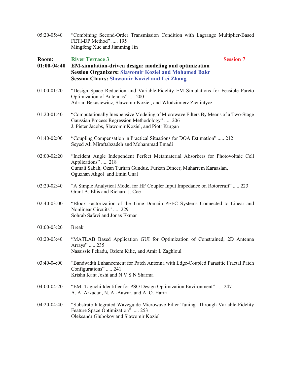05:20-05:40 "Combining Second-Order Transmission Condition with Lagrange Multiplier-Based FETI-DP Method" ..... 195 Mingfeng Xue and Jianming Jin

| Room:<br>$01:00-04:40$ | <b>River Terrace 3</b><br><b>Session 7</b><br>EM-simulation-driven design: modeling and optimization<br><b>Session Organizers: Slawomir Koziel and Mohamed Bakr</b><br><b>Session Chairs: Slawomir Koziel and Lei Zhang</b> |
|------------------------|-----------------------------------------------------------------------------------------------------------------------------------------------------------------------------------------------------------------------------|
| 01:00-01:20            | "Design Space Reduction and Variable-Fidelity EM Simulations for Feasible Pareto<br>Optimization of Antennas"  200<br>Adrian Bekasiewicz, Slawomir Koziel, and Wlodzimierz Zieniutycz                                       |
| 01:20-01:40            | "Computationally Inexpensive Modeling of Microwave Filters By Means of a Two-Stage<br>Gaussian Process Regression Methodology"  206<br>J. Pieter Jacobs, Slawomir Koziel, and Piotr Kurgan                                  |
| 01:40-02:00            | "Coupling Compensation in Practical Situations for DOA Estimation"  212<br>Seyed Ali Miraftabzadeh and Mohammad Emadi                                                                                                       |
| $02:00-02:20$          | "Incident Angle Independent Perfect Metamaterial Absorbers for Photovoltaic Cell<br>Applications"  218<br>Cumali Sabah, Ozan Turhan Gunduz, Furkan Dincer, Muharrem Karaaslan,<br>Oguzhan Akgol and Emin Unal               |
| 02:20-02:40            | "A Simple Analytical Model for HF Coupler Input Impedance on Rotorcraft"  223<br>Grant A. Ellis and Richard J. Coe                                                                                                          |
| 02:40-03:00            | "Block Factorization of the Time Domain PEEC Systems Connected to Linear and<br>Nonlinear Circuits"  229<br>Sohrab Safavi and Jonas Ekman                                                                                   |
| 03:00-03:20            | <b>Break</b>                                                                                                                                                                                                                |
| 03:20-03:40            | "MATLAB Based Application GUI for Optimization of Constrained, 2D Antenna<br>Arrays"  235<br>Nassissie Fekadu, Ozlem Kilic, and Amir I. Zaghloul                                                                            |
| 03:40-04:00            | "Bandwidth Enhancement for Patch Antenna with Edge-Coupled Parasitic Fractal Patch<br>Configurations"  241<br>Krishn Kant Joshi and N V S N Sharma                                                                          |
| 04:00-04:20            | "EM-Taguchi Identifier for PSO Design Optimization Environment"  247<br>A. A. Arkadan, N. Al-Aawar, and A. O. Hariri                                                                                                        |
| 04:20-04:40            | "Substrate Integrated Waveguide Microwave Filter Tuning Through Variable-Fidelity<br>Feature Space Optimization"  253<br>Oleksandr Glubokov and Slawomir Koziel                                                             |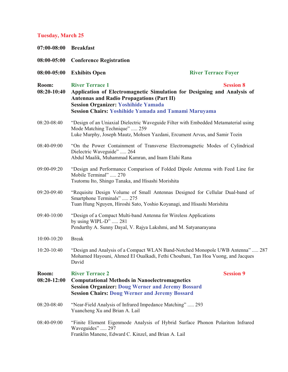# **Tuesday, March 25**

|                      | 07:00-08:00 Breakfast                                                                                                                                                                                                                                                                  |                                                                                |  |  |
|----------------------|----------------------------------------------------------------------------------------------------------------------------------------------------------------------------------------------------------------------------------------------------------------------------------------|--------------------------------------------------------------------------------|--|--|
| 08:00-05:00          | <b>Conference Registration</b>                                                                                                                                                                                                                                                         |                                                                                |  |  |
| 08:00-05:00          | <b>Exhibits Open</b>                                                                                                                                                                                                                                                                   | <b>River Terrace Foyer</b>                                                     |  |  |
| Room:<br>08:20-10:40 | <b>River Terrace 1</b><br><b>Session 8</b><br>Application of Electromagnetic Simulation for Designing and Analysis of<br><b>Antennas and Radio Propagations (Part II)</b><br><b>Session Organizer: Yoshihide Yamada</b><br><b>Session Chairs: Yoshihide Yamada and Tamami Maruyama</b> |                                                                                |  |  |
| 08:20-08:40          | "Design of an Uniaxial Dielectric Waveguide Filter with Embedded Metamaterial using<br>Mode Matching Technique"  259<br>Luke Murphy, Joseph Mautz, Mohsen Yazdani, Ercument Arvas, and Samir Tozin                                                                                     |                                                                                |  |  |
| 08:40-09:00          | "On the Power Containment of Transverse Electromagnetic Modes of Cylindrical<br>Dielectric Waveguide"  264<br>Abdul Maalik, Muhammad Kamran, and Inam Elahi Rana                                                                                                                       |                                                                                |  |  |
| 09:00-09:20          | "Design and Performance Comparison of Folded Dipole Antenna with Feed Line for<br>Mobile Terminal"  270<br>Tsutomu Ito, Shingo Tanaka, and Hisashi Morishita                                                                                                                           |                                                                                |  |  |
| 09:20-09:40          | "Requisite Design Volume of Small Antennas Designed for Cellular Dual-band of<br>Smartphone Terminals"  275<br>Tuan Hung Nguyen, Hiroshi Sato, Yoshio Koyanagi, and Hisashi Morishita                                                                                                  |                                                                                |  |  |
| 09:40-10:00          | "Design of a Compact Multi-band Antenna for Wireless Applications<br>by using WIPL-D"  281<br>Pendurthy A. Sunny Dayal, V. Rajya Lakshmi, and M. Satyanarayana                                                                                                                         |                                                                                |  |  |
| 10:00-10:20          | <b>Break</b>                                                                                                                                                                                                                                                                           |                                                                                |  |  |
| 10:20-10:40          | Mohamed Hayouni, Ahmed El Oualkadi, Fethi Choubani, Tan Hoa Vuong, and Jacques<br>David                                                                                                                                                                                                | "Design and Analysis of a Compact WLAN Band-Notched Monopole UWB Antenna"  287 |  |  |
| Room:<br>08:20-12:00 | <b>River Terrace 2</b><br><b>Computational Methods in Nanoelectromagnetics</b><br><b>Session Organizer: Doug Werner and Jeremy Bossard</b><br><b>Session Chairs: Doug Werner and Jeremy Bossard</b>                                                                                    | <b>Session 9</b>                                                               |  |  |
| 08:20-08:40          | "Near-Field Analysis of Infrared Impedance Matching"  293<br>Yuancheng Xu and Brian A. Lail                                                                                                                                                                                            |                                                                                |  |  |
| 08:40-09:00          | "Finite Element Eigenmode Analysis of Hybrid Surface Phonon Polariton Infrared<br>Waveguides"  297<br>Franklin Manene, Edward C. Kinzel, and Brian A. Lail                                                                                                                             |                                                                                |  |  |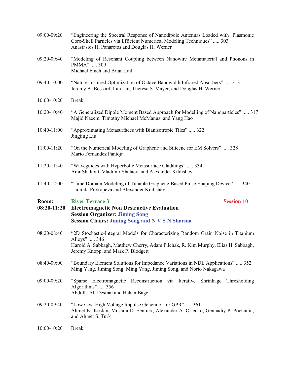| 09:00-09:20   | "Engineering the Spectral Response of Nanodipole Antennas Loaded with Plasmonic<br>Core-Shell Particles via Efficient Numerical Modeling Techniques"  303<br>Anastasios H. Panaretos and Douglas H. Werner                  |  |
|---------------|-----------------------------------------------------------------------------------------------------------------------------------------------------------------------------------------------------------------------------|--|
| 09:20-09:40   | "Modeling of Resonant Coupling between Nanowire Metamaterial and Phonons in<br>PMMA"  309<br>Michael Finch and Brian Lail                                                                                                   |  |
| 09:40-10:00   | "Nature-Inspired Optimization of Octave Bandwidth Infrared Absorbers"  313<br>Jeremy A. Bossard, Lan Lin, Theresa S. Mayer, and Douglas H. Werner                                                                           |  |
| 10:00-10:20   | <b>Break</b>                                                                                                                                                                                                                |  |
| 10:20-10:40   | "A Generalized Dipole Moment Based Approach for Modelling of Nanoparticles"  317<br>Majid Naeem, Timothy Michael McManus, and Yang Hao                                                                                      |  |
| 10:40-11:00   | "Approximating Metasurfaces with Bianisotropic Tiles" 322<br>Jingjing Liu                                                                                                                                                   |  |
| $11:00-11:20$ | "On the Numerical Modeling of Graphene and Silicene for EM Solvers"  328<br>Mario Fernandez Pantoja                                                                                                                         |  |
| 11:20-11:40   | "Waveguides with Hyperbolic Metasurface Claddings" 334<br>Amr Shaltout, Vladimir Shalaev, and Alexander Kildishev                                                                                                           |  |
| 11:40-12:00   | "Time Domain Modeling of Tunable Graphene-Based Pulse-Shaping Device"  340                                                                                                                                                  |  |
|               | Ludmila Prokopeva and Alexander Kildishev                                                                                                                                                                                   |  |
| Room:         | <b>River Terrace 3</b><br><b>Session 10</b>                                                                                                                                                                                 |  |
| $08:20-11:20$ | <b>Electromagnetic Non Destructive Evaluation</b><br><b>Session Organizer: Jiming Song</b>                                                                                                                                  |  |
|               | <b>Session Chairs: Jiming Song and N V S N Sharma</b>                                                                                                                                                                       |  |
| 08:20-08:40   | "2D Stochastic-Integral Models for Characterizing Random Grain Noise in Titanium<br>Alloys"  346<br>Harold A. Sabbagh, Matthew Cherry, Adam Pilchak, R. Kim Murphy, Elias H. Sabbagh,<br>Jeremy Knopp, and Mark P. Blodgett |  |
| 08:40-09:00   | "Boundary Element Solutions for Impedance Variations in NDE Applications"  352<br>Ming Yang, Jiming Song, Ming Yang, Jiming Song, and Norio Nakagawa                                                                        |  |
| 09:00-09:20   | "Sparse Electromagnetic Reconstruction via Iterative Shrinkage Thresholding<br>Algorithms"  356<br>Abdulla Ali Desmal and Hakan Bagci                                                                                       |  |
| 09:20-09:40   | "Low Cost High Voltage Impulse Generator for GPR"  361<br>Ahmet K. Keskin, Mustafa D. Senturk, Alexander A. Orlenko, Gennadiy P. Pochanin,<br>and Ahmet S. Turk                                                             |  |
| 10:00-10:20   | <b>Break</b>                                                                                                                                                                                                                |  |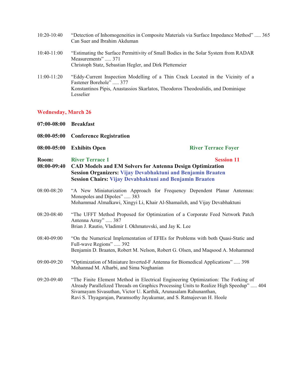| $10:20-10:40$ | "Detection of Inhomogeneities in Composite Materials via Surface Impedance Method" 365<br>Can Suer and Ibrahim Akduman                                                                                      |
|---------------|-------------------------------------------------------------------------------------------------------------------------------------------------------------------------------------------------------------|
| $10:40-11:00$ | "Estimating the Surface Permittivity of Small Bodies in the Solar System from RADAR<br>Measurements" 371<br>Christoph Statz, Sebastian Hegler, and Dirk Plettemeier                                         |
| $11:00-11:20$ | "Eddy-Current Inspection Modelling of a Thin Crack Located in the Vicinity of a<br>Fastener Borehole"  377<br>Konstantinos Pipis, Anastassios Skarlatos, Theodoros Theodoulidis, and Dominique<br>Lesselier |

# **Wednesday, March 26**

| $07:00 - 08:00$                     | <b>Breakfast</b>                                                                                                                                                                                                                                                                                                           |                                                                                                                                                                      |  |
|-------------------------------------|----------------------------------------------------------------------------------------------------------------------------------------------------------------------------------------------------------------------------------------------------------------------------------------------------------------------------|----------------------------------------------------------------------------------------------------------------------------------------------------------------------|--|
| 08:00-05:00                         | <b>Conference Registration</b>                                                                                                                                                                                                                                                                                             |                                                                                                                                                                      |  |
| 08:00-05:00<br><b>Exhibits Open</b> |                                                                                                                                                                                                                                                                                                                            | <b>River Terrace Foyer</b>                                                                                                                                           |  |
| Room:<br>$08:00-09:40$              | <b>River Terrace 1</b><br><b>Session 11</b><br><b>CAD Models and EM Solvers for Antenna Design Optimization</b><br>Session Organizers: Vijay Devabhaktuni and Benjamin Braaten<br>Session Chairs: Vijay Devabhaktuni and Benjamin Braaten                                                                                  |                                                                                                                                                                      |  |
| 08:00-08:20                         | Monopoles and Dipoles"  383<br>Mohammad Almalkawi, Xingyi Li, Khair Al-Shamaileh, and Vijay Devabhaktuni                                                                                                                                                                                                                   | "A New Miniaturization Approach for Frequency Dependent Planar Antennas:                                                                                             |  |
| 08:20-08:40                         | Antenna Array"  387<br>Brian J. Rautio, Vladimir I. Okhmatovski, and Jay K. Lee                                                                                                                                                                                                                                            | "The UFFT Method Proposed for Optimization of a Corporate Feed Network Patch                                                                                         |  |
| 08:40-09:00                         | Full-wave Regions"  392                                                                                                                                                                                                                                                                                                    | "On the Numerical Implementation of EFIEs for Problems with both Quasi-Static and<br>Benjamin D. Braaten, Robert M. Nelson, Robert G. Olsen, and Maqsood A. Mohammed |  |
| 09:00-09:20                         | "Optimization of Miniature Inverted-F Antenna for Biomedical Applications"  398<br>Mohannad M. Alharbi, and Sima Noghanian                                                                                                                                                                                                 |                                                                                                                                                                      |  |
| 09:20-09:40                         | "The Finite Element Method in Electrical Engineering Optimization: The Forking of<br>Already Parallelized Threads on Graphics Processing Units to Realize High Speedup"  404<br>Sivamayam Sivasuthan, Victor U. Karthik, Arunasalam Rahunanthan,<br>Ravi S. Thyagarajan, Paramsothy Jayakumar, and S. Ratnajeevan H. Hoole |                                                                                                                                                                      |  |
|                                     |                                                                                                                                                                                                                                                                                                                            |                                                                                                                                                                      |  |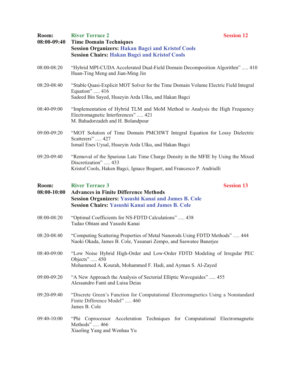| Room:<br>08:00-09:40   | <b>Session 12</b><br><b>River Terrace 2</b><br><b>Time Domain Techniques</b><br><b>Session Organizers: Hakan Bagci and Kristof Cools</b><br><b>Session Chairs: Hakan Bagci and Kristof Cools</b>                    |  |
|------------------------|---------------------------------------------------------------------------------------------------------------------------------------------------------------------------------------------------------------------|--|
| 08:00-08:20            | "Hybrid MPI-CUDA Accelerated Dual-Field Domain Decomposition Algorithm"  410<br>Huan-Ting Meng and Jian-Ming Jin                                                                                                    |  |
| 08:20-08:40            | "Stable Quasi-Explicit MOT Solver for the Time Domain Volume Electric Field Integral<br>Equation"  416<br>Sadeed Bin Sayed, Huseyin Arda Ulku, and Hakan Bagci                                                      |  |
| 08:40-09:00            | "Implementation of Hybrid TLM and MoM Method to Analysis the High Frequency<br>Electromagnetic Interferences"  421<br>M. Bahadorzadeh and H. Bolandpour                                                             |  |
| 09:00-09:20            | "MOT Solution of Time Domain PMCHWT Integral Equation for Lossy Dielectric<br>Scatterers"  427<br>Ismail Enes Uysal, Huseyin Arda Ulku, and Hakan Bagci                                                             |  |
| 09:20-09:40            | "Removal of the Spurious Late Time Charge Density in the MFIE by Using the Mixed<br>Discretization"  433<br>Kristof Cools, Haken Bagci, Ignace Bogaert, and Francesco P. Andriulli                                  |  |
| Room:<br>$08:00-10:00$ | <b>River Terrace 3</b><br><b>Session 13</b><br><b>Advances in Finite Difference Methods</b><br><b>Session Organizers: Yasushi Kanai and James B. Cole</b><br><b>Session Chairs: Yasushi Kanai and James B. Cole</b> |  |
| 08:00-08:20            | "Optimal Coefficients for NS-FDTD Calculations"  438<br>Tadao Ohtani and Yasushi Kanai                                                                                                                              |  |
| 08:20-08:40            | "Computing Scattering Properties of Metal Nanorods Using FDTD Methods"  444<br>Naoki Okada, James B. Cole, Yasunari Zempo, and Saswatee Banerjee                                                                    |  |
| 08:40-09:00            | "Low Noise Hybrid High-Order and Low-Order FDTD Modeling of Irregular PEC<br>Objects"  450<br>Mohammed A. Kourah, Mohammed F. Hadi, and Ayman S. Al-Zayed                                                           |  |
| 09:00-09:20            | "A New Approach the Analysis of Sectorial Elliptic Waveguides"  455<br>Alessandro Fanti and Luisa Deias                                                                                                             |  |
| 09:20-09:40            | "Discrete Green's Function for Computational Electromagnetics Using a Nonstandard<br>Finite Difference Model" 460<br>James B. Cole                                                                                  |  |
| 09:40-10:00            | "Phi Coprocessor Acceleration Techniques for Computational Electromagnetic<br>Methods"  466<br>Xiaoling Yang and Wenhau Yu                                                                                          |  |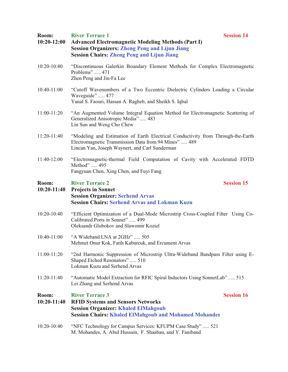| Room:<br>$10:20-12:00$ | <b>River Terrace 1</b><br><b>Session 14</b><br><b>Advanced Electromagnetic Modeling Methods (Part I)</b><br><b>Session Organizers: Zheng Peng and Lijun Jiang</b>                           |                   |
|------------------------|---------------------------------------------------------------------------------------------------------------------------------------------------------------------------------------------|-------------------|
| 10:20-10:40            | <b>Session Chairs: Zheng Peng and Lijun Jiang</b><br>"Discontinuous Galerkin Boundary Element Methods for Complex Electromagnetic<br>Problems"  471<br>Zhen Peng and Jin-Fa Lee             |                   |
| 10:40-11:00            | "Cutoff Wavenumbers of a Two Eccentric Dielectric Cylinders Loading a Circular<br>Waveguide"  477<br>Yanal S. Faouri, Hassan A. Ragheb, and Sheikh S. Iqbal                                 |                   |
| 11:00-11:20            | "An Augmented Volume Integral Equation Method for Electromagnetic Scattering of<br>Generalized Anisotropic Media"  483<br>Lin Sun and Weng Cho Chew                                         |                   |
| 11:20-11:40            | "Modeling and Estimation of Earth Electrical Conductivity from Through-the-Earth<br>Electromagnetic Transmission Data from 94 Mines"  489<br>Lincan Yan, Joseph Waynert, and Carl Sunderman |                   |
| 11:40-12:00            | "Electromagnetic-thermal Field Computation of Cavity with Accelerated FDTD<br>Method"  495<br>Fangyuan Chen, Xing Chen, and Fuyi Fang                                                       |                   |
| Room:<br>10:20-11:40   | <b>River Terrace 2</b><br><b>Projects in Sonnet</b><br><b>Session Organizer: Serhend Arvas</b><br><b>Session Chairs: Serhend Arvas and Lokman Kuzu</b>                                      | <b>Session 15</b> |
| 10:20-10:40            | "Efficient Optimization of a Dual-Mode Microstrip Cross-Coupled Filter Using Co-<br>Calibrated Ports in Sonnet"  499<br>Oleksandr Glubokov and Slawomir Koziel                              |                   |
| 10:40-11:00            | "A Wideband LNA at 2GHz"  505<br>Mehmet Onur Kok, Fatih Kaburcuk, and Ercument Arvas                                                                                                        |                   |
| 11:00-11:20            | "2nd Harmonic Suppression of Microstrip Ultra-Wideband Bandpass Filter using E-<br>Shaped Etched Resonators" 510<br>Lokman Kuzu and Serhend Arvas                                           |                   |
| 11:20-11:40            | "Automatic Model Extraction for RFIC Spiral Inductors Using SonnetLab"  515<br>Lei Zhang and Serhend Arvas                                                                                  |                   |
| Room:<br>$10:20-11:40$ | <b>River Terrace 3</b><br><b>RFID Systems and Sensors Networks</b><br><b>Session Organizer: Khaled ElMahgoub</b><br><b>Session Chairs: Khaled ElMahgoub and Mohamed Mohandes</b>            | <b>Session 16</b> |
| 10:20-10:40            | "NFC Technology for Campus Services: KFUPM Case Study"  521<br>M. Mohandes, A. Abul Hussain, F. Shaaban, and Y. Faniband                                                                    |                   |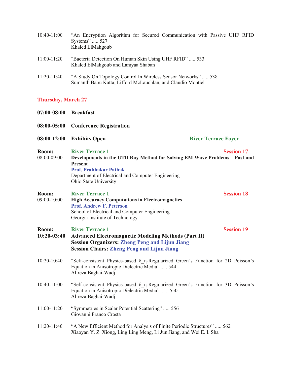| $10:40-11:00$ | "An Encryption Algorithm for Secured Communication with Passive UHF RFID<br>Systems" 527<br>Khaled ElMahgoub                 |
|---------------|------------------------------------------------------------------------------------------------------------------------------|
| $11:00-11:20$ | "Bacteria Detection On Human Skin Using UHF RFID"  533<br>Khaled ElMahgoub and Lamyaa Shaban                                 |
| $11:20-11:40$ | "A Study On Topology Control In Wireless Sensor Networks" 538<br>Sumanth Babu Katta, Lifford McLauchlan, and Claudio Montiel |

# **Thursday, March 27**

| $07:00 - 08:00$        | <b>Breakfast</b>                                                                                                                                                                                                                      |                            |
|------------------------|---------------------------------------------------------------------------------------------------------------------------------------------------------------------------------------------------------------------------------------|----------------------------|
| 08:00-05:00            | <b>Conference Registration</b>                                                                                                                                                                                                        |                            |
| $08:00-12:00$          | <b>Exhibits Open</b>                                                                                                                                                                                                                  | <b>River Terrace Foyer</b> |
| Room:<br>08:00-09:00   | <b>River Terrace 1</b><br>Developments in the UTD Ray Method for Solving EM Wave Problems - Past and<br><b>Present</b><br><b>Prof. Prabhakar Pathak</b><br>Department of Electrical and Computer Engineering<br>Ohio State University | <b>Session 17</b>          |
| Room:<br>09:00-10:00   | <b>River Terrace 1</b><br><b>High Accuracy Computations in Electromagnetics</b><br><b>Prof. Andrew F. Peterson</b><br>School of Electrical and Computer Engineering<br>Georgia Institute of Technology                                | <b>Session 18</b>          |
| Room:<br>$10:20-03:40$ | <b>River Terrace 1</b><br><b>Advanced Electromagnetic Modeling Methods (Part II)</b><br><b>Session Organizers: Zheng Peng and Lijun Jiang</b><br><b>Session Chairs: Zheng Peng and Lijun Jiang</b>                                    | <b>Session 19</b>          |
| $10:20-10:40$          | "Self-consistent Physics-based $\delta_n$ -Regularized Green's Function for 2D Poisson's<br>Equation in Anisotropic Dielectric Media"  544<br>Alireza Baghai-Wadji                                                                    |                            |
| $10:40-11:00$          | "Self-consistent Physics-based $\delta$ η-Regularized Green's Function for 3D Poisson's<br>Equation in Anisotropic Dielectric Media"  550<br>Alireza Baghai-Wadji                                                                     |                            |
| 11:00-11:20            | "Symmetries in Scalar Potential Scattering"  556<br>Giovanni Franco Crosta                                                                                                                                                            |                            |
| 11:20-11:40            | "A New Efficient Method for Analysis of Finite Periodic Structures"  562<br>Xiaoyan Y. Z. Xiong, Ling Ling Meng, Li Jun Jiang, and Wei E. I. Sha                                                                                      |                            |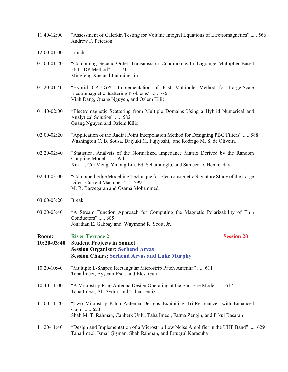- 11:40-12:00 "Assessment of Galerkin Testing for Volume Integral Equations of Electromagnetics" ..... 566 Andrew F. Peterson
- 12:00-01:00 Lunch
- 01:00-01:20 "Combining Second-Order Transmission Condition with Lagrange Multiplier-Based FETI-DP Method" ..... 571 Mingfeng Xue and Jianming Jin
- 01:20-01:40 "Hybrid CPU-GPU Implementation of Fast Multipole Method for Large-Scale Electromagnetic Scattering Problems" ..... 576 Vinh Dang, Quang Nguyen, and Ozlem Kilic
- 01:40-02:00 "Electromagnetic Scattering from Multiple Domains Using a Hybrid Numerical and Analytical Solution" ..... 582 Quang Nguyen and Ozlem Kilic
- 02:00-02:20 "Application of the Radial Point Interpolation Method for Designing PBG Filters" ..... 588 Washington C. B. Sousa, Daiyuki M. Fujiyoshi, and Rodrigo M. S. de Oliveira
- 02:20-02:40 "Statistical Analysis of the Normalized Impedance Matrix Derived by the Random Coupling Model" ..... 594 Xin Li, Cui Meng, Yinong Liu, Edl Schamiloglu, and Sameer D. Hemmaday
- 02:40-03:00 "Combined Edge Modelling Technique for Electromagnetic Signature Study of the Large Direct Current Machines" ..... 599 M. R. Barzegaran and Osama Mohammed
- 03:00-03:20 Break
- 03:20-03:40 "A Stream Function Approach for Computing the Magnetic Polarizability of Thin Conductors" ..... 605 Jonathan E. Gabbay and Waymond R. Scott, Jr.

### **Room:** River Terrace 2 Session 20

| $10:20-03:40$ | <b>Student Projects in Sonnet</b><br><b>Session Organizer: Serhend Arvas</b><br><b>Session Chairs: Serhend Arvas and Luke Murphy</b>                                       |
|---------------|----------------------------------------------------------------------------------------------------------------------------------------------------------------------------|
| $10:20-10:40$ | "Multiple E-Shaped Rectangular Microstrip Patch Antenna"  611<br>Taha Imeci, Ayşenur Eser, and Elest Gun                                                                   |
| $10:40-11:00$ | "A Microstrip Ring Antenna Design Operating at the End-Fire Mode"  617<br>Taha Imeci, Ali Aydın, and Talha Temiz                                                           |
| 11:00-11:20   | "Two Microstrip Patch Antenna Designs Exhibiting Tri-Resonance with Enhanced<br>Gain"  623<br>Shah M. T. Rahman, Canberk Unlu, Taha Imeci, Fatma Zengin, and Erkul Başaran |
| 11:20-11:40   | "Design and Implementation of a Microstrip Low Noise Amplifier in the UHF Band"  629<br>Taha İmeci, Ismail Şişman, Shah Rahman, and Ertuğrul Karacuha                      |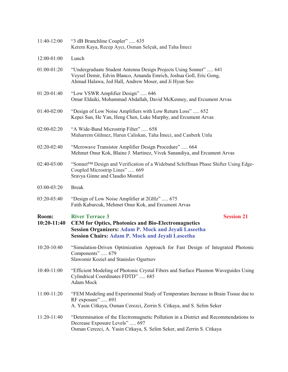| 11:40-12:00          | "3 dB Branchline Coupler"  635<br>Kerem Kaya, Recep Aycı, Osman Selçuk, and Taha İmeci                                                                                                                                             |
|----------------------|------------------------------------------------------------------------------------------------------------------------------------------------------------------------------------------------------------------------------------|
| 12:00-01:00          | Lunch                                                                                                                                                                                                                              |
| 01:00-01:20          | "Undergraduate Student Antenna Design Projects Using Sonnet"  641<br>Veysel Demir, Edvin Blanco, Amanda Emrich, Joshua Goll, Eric Gong,<br>Ahmad Halawa, Jed Hall, Andrew Moser, and Ji Hyun Seo                                   |
| 01:20-01:40          | "Low VSWR Amplifier Design"  646<br>Omar Eldaiki, Mohammad Abdallah, David McKenney, and Ercument Arvas                                                                                                                            |
| 01:40-02:00          | "Design of Low Noise Amplifiers with Low Return Loss" 652<br>Kepei Sun, He Yan, Heng Chen, Luke Murphy, and Ercument Arvas                                                                                                         |
| 02:00-02:20          | "A Wide-Band Microstrip Filter"  658<br>Muharrem Gülmez, Harun Caliskan, Taha İmeci, and Canberk Unlu                                                                                                                              |
| 02:20-02:40          | "Mcrowave Transistor Amplifier Design Procedure"  664<br>Mehmet Onur Kok, Blaine J. Martinez, Vivek Sanandiya, and Ercument Arvas                                                                                                  |
| 02:40-03:00          | "Sonnet <sup>™</sup> Design and Verification of a Wideband Schiffman Phase Shifter Using Edge-<br>Coupled Microstrip Lines"  669<br>Sravya Ginne and Claudio Montiel                                                               |
| 03:00-03:20          | <b>Break</b>                                                                                                                                                                                                                       |
| 03:20-03:40          | "Design of Low Noise Amplifier at 2GHz"  675<br>Fatih Kaburcuk, Mehmet Onur Kok, and Ercument Arvas                                                                                                                                |
| Room:<br>10:20-11:40 | <b>River Terrace 3</b><br><b>Session 21</b><br><b>CEM for Optics, Photonics and Bio-Electromagnetics</b><br><b>Session Organizers: Adam P. Mock and Jeyali Laseetha</b><br><b>Session Chairs: Adam P. Mock and Jeyali Laseetha</b> |
| 10:20-10:40          | "Simulation-Driven Optimization Approach for Fast Design of Integrated Photonic<br>Components"  679<br>Slawomir Koziel and Stanislav Ogurtsov                                                                                      |
| 10:40-11:00          | "Efficient Modeling of Photonic Crystal Fibers and Surface Plasmon Waveguides Using<br>Cylindrical Coordinates FDTD"  685<br>Adam Mock                                                                                             |
| 11:00-11:20          | "FEM Modeling and Experimental Study of Temperature Increase in Brain Tissue due to<br>RF exposure"  691<br>A. Yasin Citkaya, Osman Cerezci, Zerrin S. Citkaya, and S. Selim Seker                                                 |
| 11:20-11:40          | "Determination of the Electromagnetic Pollution in a District and Recommendations to<br>Decrease Exposure Levels"  697<br>Osman Cerezci, A. Yasin Citkaya, S. Selim Seker, and Zerrin S. Citkaya                                   |